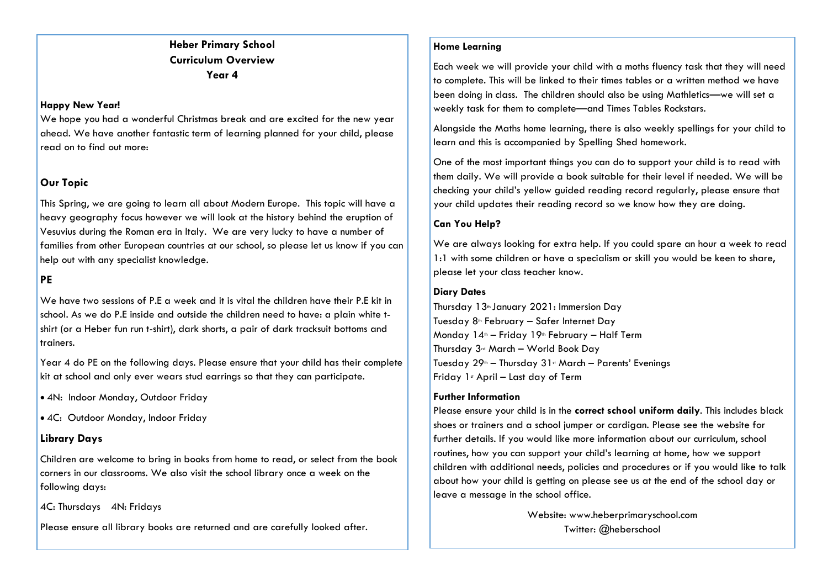# **Heber Primary School Curriculum Overview Year 4**

#### **Happy New Year!**

We hope you had a wonderful Christmas break and are excited for the new year ahead. We have another fantastic term of learning planned for your child, please read on to find out more:

# **Our Topic**

This Spring, we are going to learn all about Modern Europe. This topic will have a heavy geography focus however we will look at the history behind the eruption of Vesuvius during the Roman era in Italy. We are very lucky to have a number of families from other European countries at our school, so please let us know if you can help out with any specialist knowledge.

### **PE**

We have two sessions of P.E a week and it is vital the children have their P.E kit in school. As we do P.E inside and outside the children need to have: a plain white tshirt (or a Heber fun run t-shirt), dark shorts, a pair of dark tracksuit bottoms and trainers.

Year 4 do PE on the following days. Please ensure that your child has their complete kit at school and only ever wears stud earrings so that they can participate.

4N: Indoor Monday, Outdoor Friday

4C: Outdoor Monday, Indoor Friday

### **Library Days**

Children are welcome to bring in books from home to read, or select from the book corners in our classrooms. We also visit the school library once a week on the following days:

4C: Thursdays 4N: Fridays

Please ensure all library books are returned and are carefully looked after.

#### **Home Learning**

Each week we will provide your child with a moths fluency task that they will need to complete. This will be linked to their times tables or a written method we have been doing in class. The children should also be using Mathletics—we will set a weekly task for them to complete—and Times Tables Rockstars.

Alongside the Maths home learning, there is also weekly spellings for your child to learn and this is accompanied by Spelling Shed homework.

One of the most important things you can do to support your child is to read with them daily. We will provide a book suitable for their level if needed. We will be checking your child's yellow guided reading record regularly, please ensure that your child updates their reading record so we know how they are doing.

#### **Can You Help?**

We are always looking for extra help. If you could spare an hour a week to read 1:1 with some children or have a specialism or skill you would be keen to share, please let your class teacher know.

#### **Diary Dates**

Thursday 13<sup>th</sup> January 2021: Immersion Day Tuesday 8<sup>th</sup> February – Safer Internet Day Monday  $14<sup>th</sup> -$  Friday  $19<sup>th</sup>$  February – Half Term Thursday 3rd March – World Book Day Tuesday  $29<sup>th</sup>$  – Thursday  $31<sup>st</sup>$  March – Parents' Evenings Friday  $1$ <sup>s</sup> April – Last day of Term

#### **Further Information**

Please ensure your child is in the **correct school uniform daily**. This includes black shoes or trainers and a school jumper or cardigan. Please see the website for further details. If you would like more information about our curriculum, school routines, how you can support your child's learning at home, how we support children with additional needs, policies and procedures or if you would like to talk about how your child is getting on please see us at the end of the school day or leave a message in the school office.

> Website: www.heberprimaryschool.com Twitter: @heberschool